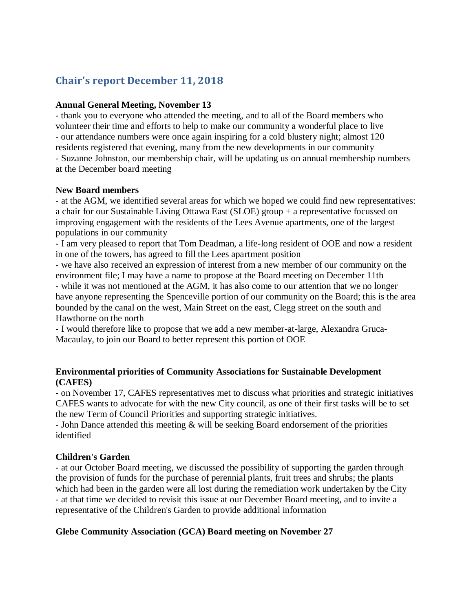# **Chair's report December 11, 2018**

#### **Annual General Meeting, November 13**

- thank you to everyone who attended the meeting, and to all of the Board members who volunteer their time and efforts to help to make our community a wonderful place to live - our attendance numbers were once again inspiring for a cold blustery night; almost 120 residents registered that evening, many from the new developments in our community - Suzanne Johnston, our membership chair, will be updating us on annual membership numbers at the December board meeting

#### **New Board members**

- at the AGM, we identified several areas for which we hoped we could find new representatives: a chair for our Sustainable Living Ottawa East (SLOE) group + a representative focussed on improving engagement with the residents of the Lees Avenue apartments, one of the largest populations in our community

- I am very pleased to report that Tom Deadman, a life-long resident of OOE and now a resident in one of the towers, has agreed to fill the Lees apartment position

- we have also received an expression of interest from a new member of our community on the environment file; I may have a name to propose at the Board meeting on December 11th - while it was not mentioned at the AGM, it has also come to our attention that we no longer have anyone representing the Spenceville portion of our community on the Board; this is the area bounded by the canal on the west, Main Street on the east, Clegg street on the south and Hawthorne on the north

- I would therefore like to propose that we add a new member-at-large, Alexandra Gruca-Macaulay, to join our Board to better represent this portion of OOE

### **Environmental priorities of Community Associations for Sustainable Development (CAFES)**

- on November 17, CAFES representatives met to discuss what priorities and strategic initiatives CAFES wants to advocate for with the new City council, as one of their first tasks will be to set the new Term of Council Priorities and supporting strategic initiatives.

- John Dance attended this meeting & will be seeking Board endorsement of the priorities identified

#### **Children's Garden**

- at our October Board meeting, we discussed the possibility of supporting the garden through the provision of funds for the purchase of perennial plants, fruit trees and shrubs; the plants which had been in the garden were all lost during the remediation work undertaken by the City - at that time we decided to revisit this issue at our December Board meeting, and to invite a representative of the Children's Garden to provide additional information

# **Glebe Community Association (GCA) Board meeting on November 27**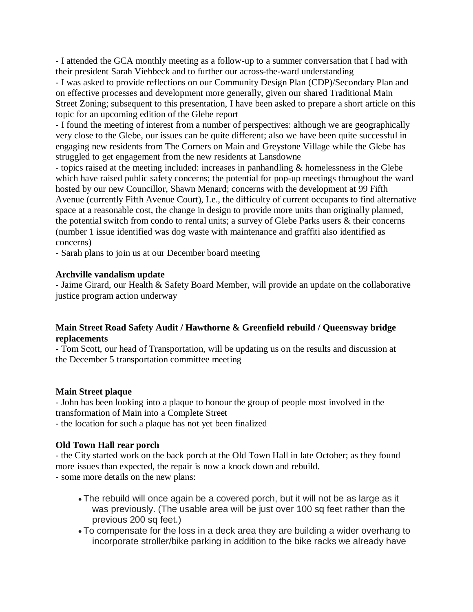- I attended the GCA monthly meeting as a follow-up to a summer conversation that I had with their president Sarah Viehbeck and to further our across-the-ward understanding

- I was asked to provide reflections on our Community Design Plan (CDP)/Secondary Plan and on effective processes and development more generally, given our shared Traditional Main Street Zoning; subsequent to this presentation, I have been asked to prepare a short article on this topic for an upcoming edition of the Glebe report

- I found the meeting of interest from a number of perspectives: although we are geographically very close to the Glebe, our issues can be quite different; also we have been quite successful in engaging new residents from The Corners on Main and Greystone Village while the Glebe has struggled to get engagement from the new residents at Lansdowne

- topics raised at the meeting included: increases in panhandling & homelessness in the Glebe which have raised public safety concerns; the potential for pop-up meetings throughout the ward hosted by our new Councillor, Shawn Menard; concerns with the development at 99 Fifth Avenue (currently Fifth Avenue Court), I.e., the difficulty of current occupants to find alternative space at a reasonable cost, the change in design to provide more units than originally planned, the potential switch from condo to rental units; a survey of Glebe Parks users & their concerns (number 1 issue identified was dog waste with maintenance and graffiti also identified as concerns)

- Sarah plans to join us at our December board meeting

### **Archville vandalism update**

**-** Jaime Girard, our Health & Safety Board Member, will provide an update on the collaborative justice program action underway

# **Main Street Road Safety Audit / Hawthorne & Greenfield rebuild / Queensway bridge replacements**

- Tom Scott, our head of Transportation, will be updating us on the results and discussion at the December 5 transportation committee meeting

# **Main Street plaque**

- John has been looking into a plaque to honour the group of people most involved in the transformation of Main into a Complete Street

- the location for such a plaque has not yet been finalized

# **Old Town Hall rear porch**

- the City started work on the back porch at the Old Town Hall in late October; as they found more issues than expected, the repair is now a knock down and rebuild. - some more details on the new plans:

- The rebuild will once again be a covered porch, but it will not be as large as it was previously. (The usable area will be just over 100 sq feet rather than the previous 200 sq feet.)
- To compensate for the loss in a deck area they are building a wider overhang to incorporate stroller/bike parking in addition to the bike racks we already have